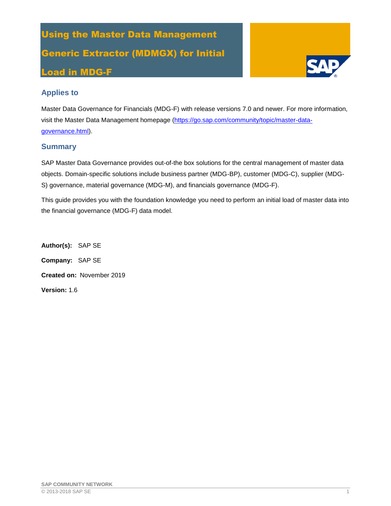# Using the Master Data Management Generic Extractor (MDMGX) for Initial Load in MDG-F



## **Applies to**

Master Data Governance for Financials (MDG-F) with release versions 7.0 and newer. For more information, visit the Master Data Management homepage [\(https://go.sap.com/community/topic/master-data](https://go.sap.com/community/topic/master-data-governance.html)[governance.html\)](https://go.sap.com/community/topic/master-data-governance.html).

## **Summary**

SAP Master Data Governance provides out-of-the box solutions for the central management of master data objects. Domain-specific solutions include business partner (MDG-BP), customer (MDG-C), supplier (MDG-S) governance, material governance (MDG-M), and financials governance (MDG-F).

This guide provides you with the foundation knowledge you need to perform an initial load of master data into the financial governance (MDG-F) data model.

**Author(s):** SAP SE **Company:** SAP SE **Created on:** November 2019 **Version:** 1.6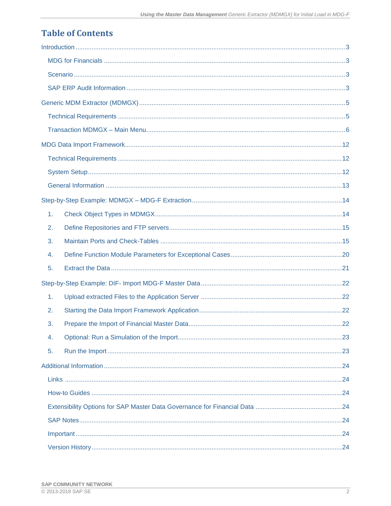| $\mathbf{1}$ . |  |
|----------------|--|
| 2.             |  |
| 3.             |  |
| 4.             |  |
| 5.             |  |
|                |  |
| $\mathbf{1}$ . |  |
| 2.             |  |
| 3.             |  |
| 4.             |  |
| 5.             |  |
|                |  |
|                |  |
|                |  |
|                |  |
|                |  |
|                |  |
|                |  |

## **Table of Contents**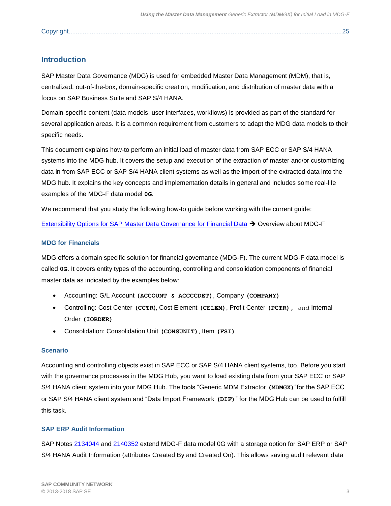|--|

## <span id="page-2-0"></span>**Introduction**

SAP Master Data Governance (MDG) is used for embedded Master Data Management (MDM), that is, centralized, out-of-the-box, domain-specific creation, modification, and distribution of master data with a focus on SAP Business Suite and SAP S/4 HANA.

Domain-specific content (data models, user interfaces, workflows) is provided as part of the standard for several application areas. It is a common requirement from customers to adapt the MDG data models to their specific needs.

This document explains how-to perform an initial load of master data from SAP ECC or SAP S/4 HANA systems into the MDG hub. It covers the setup and execution of the extraction of master and/or customizing data in from SAP ECC or SAP S/4 HANA client systems as well as the import of the extracted data into the MDG hub. It explains the key concepts and implementation details in general and includes some real-life examples of the MDG-F data model **0G**.

We recommend that you study the following how-to guide before working with the current guide:

[Extensibility Options for SAP Master Data Governance for Financial Data](https://wiki.scn.sap.com/wiki/display/SAPMDM/Documentation%3A+Financial+Data) ➔ Overview about MDG-F

## <span id="page-2-1"></span>**MDG for Financials**

MDG offers a domain specific solution for financial governance (MDG-F). The current MDG-F data model is called **0G**. It covers entity types of the accounting, controlling and consolidation components of financial master data as indicated by the examples below:

- Accounting: G/L Account **(ACCOUNT & ACCCCDET)**, Company **(COMPANY)**
- Controlling: Cost Center **(CCTR**), Cost Element **(CELEM)**, Profit Center **(PCTR),** and Internal Order **(IORDER)**
- Consolidation: Consolidation Unit **(CONSUNIT)**, Item **(FSI)**

#### <span id="page-2-2"></span>**Scenario**

Accounting and controlling objects exist in SAP ECC or SAP S/4 HANA client systems, too. Before you start with the governance processes in the MDG Hub, you want to load existing data from your SAP ECC or SAP S/4 HANA client system into your MDG Hub. The tools "Generic MDM Extractor **(MDMGX)**"for the SAP ECC or SAP S/4 HANA client system and "Data Import Framework **(DIF)**" for the MDG Hub can be used to fulfill this task.

## <span id="page-2-3"></span>**SAP ERP Audit Information**

SAP Notes [2134044](https://service.sap.com/sap/support/notes/2134044) and [2140352](https://service.sap.com/sap/support/notes/2140352) extend MDG-F data model 0G with a storage option for SAP ERP or SAP S/4 HANA Audit Information (attributes Created By and Created On). This allows saving audit relevant data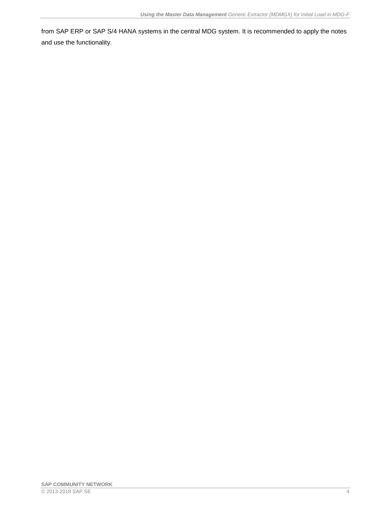from SAP ERP or SAP S/4 HANA systems in the central MDG system. It is recommended to apply the notes and use the functionality.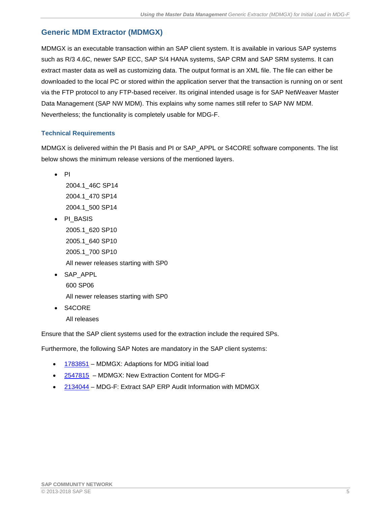## <span id="page-4-0"></span>**Generic MDM Extractor (MDMGX)**

MDMGX is an executable transaction within an SAP client system. It is available in various SAP systems such as R/3 4.6C, newer SAP ECC, SAP S/4 HANA systems, SAP CRM and SAP SRM systems. It can extract master data as well as customizing data. The output format is an XML file. The file can either be downloaded to the local PC or stored within the application server that the transaction is running on or sent via the FTP protocol to any FTP-based receiver. Its original intended usage is for SAP NetWeaver Master Data Management (SAP NW MDM). This explains why some names still refer to SAP NW MDM. Nevertheless; the functionality is completely usable for MDG-F.

## <span id="page-4-1"></span>**Technical Requirements**

MDMGX is delivered within the PI Basis and PI or SAP\_APPL or S4CORE software components. The list below shows the minimum release versions of the mentioned layers.

• PI

2004.1\_46C SP14 2004.1\_470 SP14 2004.1\_500 SP14

- PI\_BASIS 2005.1\_620 SP10 2005.1\_640 SP10 2005.1\_700 SP10 All newer releases starting with SP0
- SAP\_APPL 600 SP06

All newer releases starting with SP0

• S4CORE All releases

Ensure that the SAP client systems used for the extraction include the required SPs.

Furthermore, the following SAP Notes are mandatory in the SAP client systems:

- [1783851](https://service.sap.com/sap/support/notes/1783851) MDMGX: Adaptions for MDG initial load
- [2547815](https://launchpad.support.sap.com/#/notes/2547815) MDMGX: New Extraction Content for MDG-F
- [2134044](https://service.sap.com/sap/support/notes/2134044) MDG-F: Extract SAP ERP Audit Information with MDMGX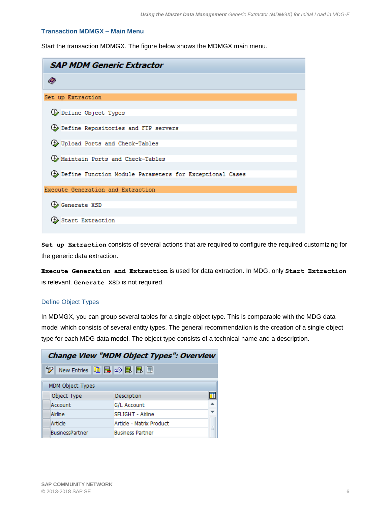## <span id="page-5-0"></span>**Transaction MDMGX – Main Menu**

Start the transaction MDMGX. The figure below shows the MDMGX main menu.

| <b>SAP MDM Generic Extractor</b>                            |  |  |  |
|-------------------------------------------------------------|--|--|--|
|                                                             |  |  |  |
| Set up Extraction                                           |  |  |  |
| <b>B</b> Define Object Types                                |  |  |  |
| <b>B</b> Define Repositories and FTP servers                |  |  |  |
| <b>4</b> Upload Ports and Check-Tables                      |  |  |  |
| <b>4</b> Maintain Ports and Check-Tables                    |  |  |  |
| (b) Define Function Module Parameters for Exceptional Cases |  |  |  |
| Execute Generation and Extraction                           |  |  |  |
| <b>B</b> Generate XSD                                       |  |  |  |
| <b>B</b> Start Extraction                                   |  |  |  |

**Set up Extraction** consists of several actions that are required to configure the required customizing for the generic data extraction.

**Execute Generation and Extraction** is used for data extraction. In MDG, only **Start Extraction** is relevant. **Generate XSD** is not required.

#### Define Object Types

In MDMGX, you can group several tables for a single object type. This is comparable with the MDG data model which consists of several entity types. The general recommendation is the creation of a single object type for each MDG data model. The object type consists of a technical name and a description.

| <b>Change View "MDM Object Types": Overview</b> |                               |  |  |  |
|-------------------------------------------------|-------------------------------|--|--|--|
| New Entries 咱日の昆風国                              |                               |  |  |  |
| <b>MDM Object Types</b>                         |                               |  |  |  |
| Object Type                                     | Description                   |  |  |  |
| Account                                         | G/L Account                   |  |  |  |
| Airline                                         | SFLIGHT - Airline             |  |  |  |
| Article                                         | Article - Matrix Product<br>绀 |  |  |  |
| BusinessPartner                                 | <b>Business Partner</b>       |  |  |  |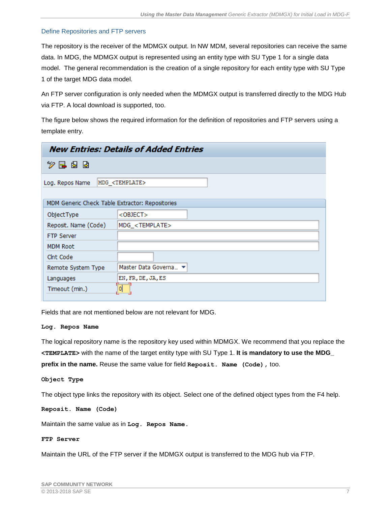### Define Repositories and FTP servers

The repository is the receiver of the MDMGX output. In NW MDM, several repositories can receive the same data. In MDG, the MDMGX output is represented using an entity type with SU Type 1 for a single data model. The general recommendation is the creation of a single repository for each entity type with SU Type 1 of the target MDG data model.

An FTP server configuration is only needed when the MDMGX output is transferred directly to the MDG Hub via FTP. A local download is supported, too.

The figure below shows the required information for the definition of repositories and FTP servers using a template entry.

| <b>New Entries: Details of Added Entries</b>    |                            |  |  |  |
|-------------------------------------------------|----------------------------|--|--|--|
| シ로 さっ                                           |                            |  |  |  |
| Log. Repos Name                                 | MDG <template></template>  |  |  |  |
| MDM Generic Check Table Extractor: Repositories |                            |  |  |  |
| ObjectType                                      | $<$ OBJECT $>$             |  |  |  |
| Reposit. Name (Code)                            | MDG_ <template></template> |  |  |  |
| <b>FTP Server</b>                               |                            |  |  |  |
| <b>MDM Root</b>                                 |                            |  |  |  |
| Clnt Code                                       |                            |  |  |  |
| Remote System Type                              | Master Data Governa ▼      |  |  |  |
| Languages                                       | EN, FR, DE, JA, ES         |  |  |  |
| Timeout (min.)                                  | 0                          |  |  |  |

Fields that are not mentioned below are not relevant for MDG.

#### **Log. Repos Name**

The logical repository name is the repository key used within MDMGX. We recommend that you replace the **<TEMPLATE>** with the name of the target entity type with SU Type 1. **It is mandatory to use the MDG\_ prefix in the name.** Reuse the same value for field **Reposit. Name (Code),** too.

**Object Type**

The object type links the repository with its object. Select one of the defined object types from the F4 help.

**Reposit. Name (Code)**

Maintain the same value as in **Log. Repos Name.** 

## **FTP Server**

Maintain the URL of the FTP server if the MDMGX output is transferred to the MDG hub via FTP.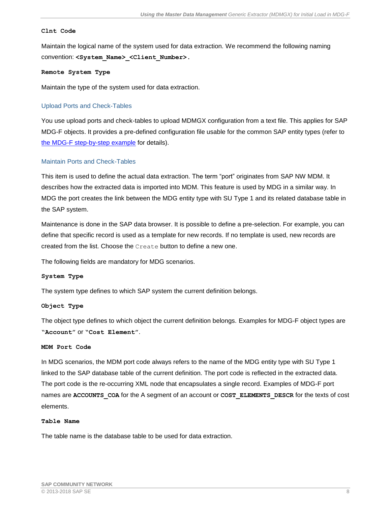#### **Clnt Code**

Maintain the logical name of the system used for data extraction. We recommend the following naming convention: **<System\_Name>\_<Client\_Number>.**

#### **Remote System Type**

Maintain the type of the system used for data extraction.

## Upload Ports and Check-Tables

You use upload ports and check-tables to upload MDMGX configuration from a text file. This applies for SAP MDG-F objects. It provides a pre-defined configuration file usable for the common SAP entity types (refer to [the MDG-F step-by-step example](#page-13-0) for details).

### Maintain Ports and Check-Tables

This item is used to define the actual data extraction. The term "port" originates from SAP NW MDM. It describes how the extracted data is imported into MDM. This feature is used by MDG in a similar way. In MDG the port creates the link between the MDG entity type with SU Type 1 and its related database table in the SAP system.

Maintenance is done in the SAP data browser. It is possible to define a pre-selection. For example, you can define that specific record is used as a template for new records. If no template is used, new records are created from the list. Choose the Create button to define a new one.

The following fields are mandatory for MDG scenarios.

#### **System Type**

The system type defines to which SAP system the current definition belongs.

#### **Object Type**

The object type defines to which object the current definition belongs. Examples for MDG-F object types are **"Account"** or **"Cost Element"**.

#### **MDM Port Code**

In MDG scenarios, the MDM port code always refers to the name of the MDG entity type with SU Type 1 linked to the SAP database table of the current definition. The port code is reflected in the extracted data. The port code is the re-occurring XML node that encapsulates a single record. Examples of MDG-F port names are **ACCOUNTS\_COA** for the A segment of an account or **COST\_ELEMENTS\_DESCR** for the texts of cost elements.

#### **Table Name**

The table name is the database table to be used for data extraction.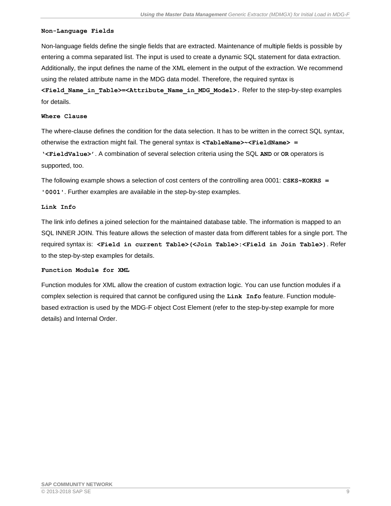#### **Non-Language Fields**

Non-language fields define the single fields that are extracted. Maintenance of multiple fields is possible by entering a comma separated list. The input is used to create a dynamic SQL statement for data extraction. Additionally, the input defines the name of the XML element in the output of the extraction. We recommend using the related attribute name in the MDG data model. Therefore, the required syntax is

**<Field\_Name\_in\_Table>=<Attribute\_Name\_in\_MDG\_Model>.** Refer to the step-by-step examples for details.

#### **Where Clause**

The where-clause defines the condition for the data selection. It has to be written in the correct SQL syntax, otherwise the extraction might fail. The general syntax is **<TableName>~<FieldName> = '<FieldValue>'**. A combination of several selection criteria using the SQL **AND** or **OR** operators is supported, too.

The following example shows a selection of cost centers of the controlling area 0001: **CSKS~KOKRS** = **'0001'**. Further examples are available in the step-by-step examples.

#### **Link Info**

The link info defines a joined selection for the maintained database table. The information is mapped to an SQL INNER JOIN. This feature allows the selection of master data from different tables for a single port. The required syntax is: **<Field in current Table>(<Join Table>:<Field in Join Table>)**. Refer to the step-by-step examples for details.

### **Function Module for XML**

Function modules for XML allow the creation of custom extraction logic. You can use function modules if a complex selection is required that cannot be configured using the **Link Info** feature. Function modulebased extraction is used by the MDG-F object Cost Element (refer to the step-by-step example for more details) and Internal Order.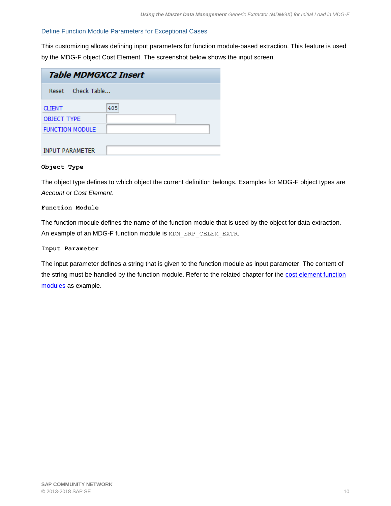## Define Function Module Parameters for Exceptional Cases

This customizing allows defining input parameters for function module-based extraction. This feature is used by the MDG-F object Cost Element. The screenshot below shows the input screen.

| <b>Table MDMGXC2 Insert</b> |     |  |  |
|-----------------------------|-----|--|--|
| Reset Check Table           |     |  |  |
| <b>CLIENT</b>               | 405 |  |  |
| <b>OBJECT TYPE</b>          |     |  |  |
| <b>FUNCTION MODULE</b>      |     |  |  |
|                             |     |  |  |
| <b>INPUT PARAMETER</b>      |     |  |  |

#### **Object Type**

The object type defines to which object the current definition belongs. Examples for MDG-F object types are *Account* or *Cost Element*.

#### **Function Module**

The function module defines the name of the function module that is used by the object for data extraction. An example of an MDG-F function module is MDM\_ERP\_CELEM\_EXTR.

#### **Input Parameter**

The input parameter defines a string that is given to the function module as input parameter. The content of the string must be handled by the function module. Refer to the related chapter for the cost element function [modules](#page-19-0) as example.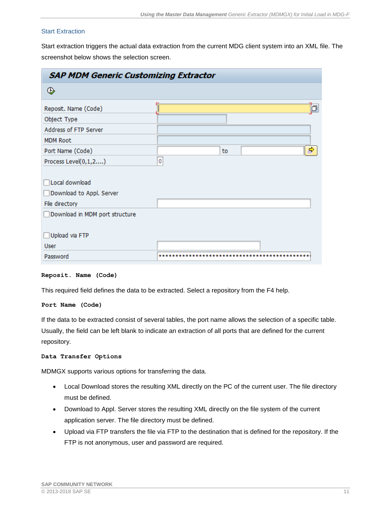## Start Extraction

Start extraction triggers the actual data extraction from the current MDG client system into an XML file. The screenshot below shows the selection screen.

| <b>SAP MDM Generic Customizing Extractor</b> |         |  |
|----------------------------------------------|---------|--|
| ⊕                                            |         |  |
| Reposit. Name (Code)                         | Þ       |  |
| Object Type                                  |         |  |
| Address of FTP Server                        |         |  |
| <b>MDM Root</b>                              |         |  |
| Port Name (Code)                             | ⇒<br>to |  |
| Process Level(0,1,2)                         | 0       |  |
|                                              |         |  |
| Local download                               |         |  |
| Download to Appl. Server                     |         |  |
| File directory                               |         |  |
| Download in MDM port structure               |         |  |
|                                              |         |  |
| Upload via FTP                               |         |  |
| <b>User</b>                                  |         |  |
| Password                                     | ******  |  |

#### **Reposit. Name (Code)**

This required field defines the data to be extracted. Select a repository from the F4 help.

#### **Port Name (Code)**

If the data to be extracted consist of several tables, the port name allows the selection of a specific table. Usually, the field can be left blank to indicate an extraction of all ports that are defined for the current repository.

#### **Data Transfer Options**

MDMGX supports various options for transferring the data.

- Local Download stores the resulting XML directly on the PC of the current user. The file directory must be defined.
- Download to Appl. Server stores the resulting XML directly on the file system of the current application server. The file directory must be defined.
- Upload via FTP transfers the file via FTP to the destination that is defined for the repository. If the FTP is not anonymous, user and password are required.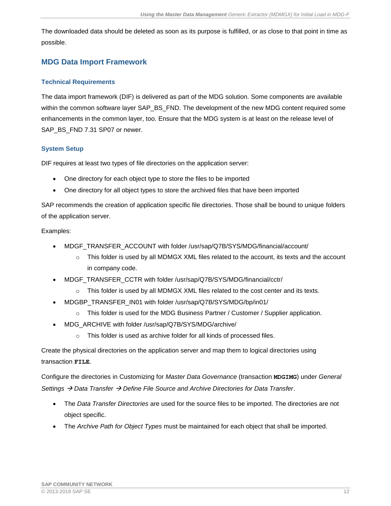The downloaded data should be deleted as soon as its purpose is fulfilled, or as close to that point in time as possible.

## <span id="page-11-0"></span>**MDG Data Import Framework**

## <span id="page-11-1"></span>**Technical Requirements**

The data import framework (DIF) is delivered as part of the MDG solution. Some components are available within the common software layer SAP\_BS\_FND. The development of the new MDG content required some enhancements in the common layer, too. Ensure that the MDG system is at least on the release level of SAP\_BS\_FND 7.31 SP07 or newer.

## <span id="page-11-2"></span>**System Setup**

DIF requires at least two types of file directories on the application server:

- One directory for each object type to store the files to be imported
- One directory for all object types to store the archived files that have been imported

SAP recommends the creation of application specific file directories. Those shall be bound to unique folders of the application server.

## Examples:

- MDGF\_TRANSFER\_ACCOUNT with folder /usr/sap/Q7B/SYS/MDG/financial/account/
	- $\circ$  This folder is used by all MDMGX XML files related to the account, its texts and the account in company code.
- MDGF\_TRANSFER\_CCTR with folder /usr/sap/Q7B/SYS/MDG/financial/cctr/
	- $\circ$  This folder is used by all MDMGX XML files related to the cost center and its texts.
- MDGBP\_TRANSFER\_IN01 with folder /usr/sap/Q7B/SYS/MDG/bp/in01/
	- o This folder is used for the MDG Business Partner / Customer / Supplier application.
- MDG\_ARCHIVE with folder /usr/sap/Q7B/SYS/MDG/archive/
	- This folder is used as archive folder for all kinds of processed files.

Create the physical directories on the application server and map them to logical directories using transaction **FILE**.

Configure the directories in Customizing for *Master Data Governance* (transaction **MDGIMG**) under *General Settings* → *Data Transfer* → *Define File Source and Archive Directories for Data Transfer*.

- The *Data Transfer Directories* are used for the source files to be imported. The directories are not object specific.
- The *Archive Path for Object Types* must be maintained for each object that shall be imported.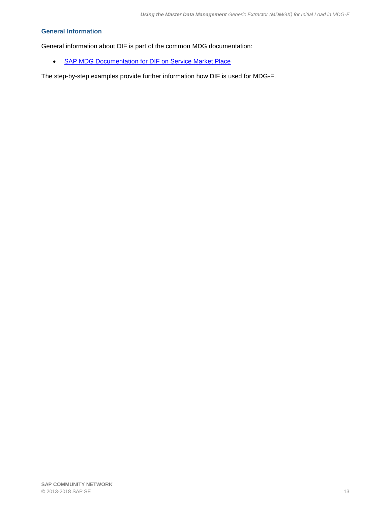## <span id="page-12-0"></span>**General Information**

General information about DIF is part of the common MDG documentation:

• [SAP MDG Documentation for DIF on Service Market Place](http://help.sap.com/mdg)

The step-by-step examples provide further information how DIF is used for MDG-F.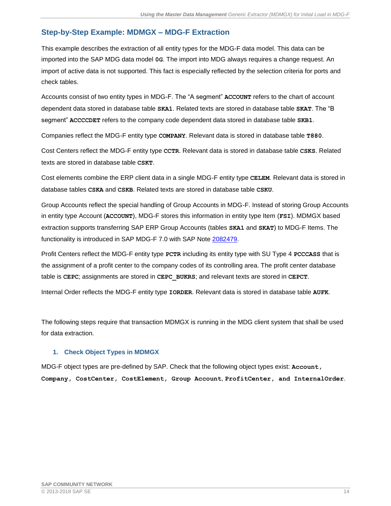## <span id="page-13-0"></span>**Step-by-Step Example: MDMGX – MDG-F Extraction**

This example describes the extraction of all entity types for the MDG-F data model. This data can be imported into the SAP MDG data model **0G**. The import into MDG always requires a change request. An import of active data is not supported. This fact is especially reflected by the selection criteria for ports and check tables.

Accounts consist of two entity types in MDG-F. The "A segment" **ACCOUNT** refers to the chart of account dependent data stored in database table **SKA1**. Related texts are stored in database table **SKAT**. The "B segment" **ACCCCDET** refers to the company code dependent data stored in database table **SKB1**.

Companies reflect the MDG-F entity type **COMPANY**. Relevant data is stored in database table **T880**.

Cost Centers reflect the MDG-F entity type **CCTR**. Relevant data is stored in database table **CSKS**. Related texts are stored in database table **CSKT**.

Cost elements combine the ERP client data in a single MDG-F entity type **CELEM**. Relevant data is stored in database tables **CSKA** and **CSKB**. Related texts are stored in database table **CSKU**.

Group Accounts reflect the special handling of Group Accounts in MDG-F. Instead of storing Group Accounts in entity type Account (**ACCOUNT**), MDG-F stores this information in entity type Item (**FSI**). MDMGX based extraction supports transferring SAP ERP Group Accounts (tables **SKA1** and **SKAT**) to MDG-F Items. The functionality is introduced in SAP MDG-F 7.0 with SAP Note [2082479.](https://service.sap.com/sap/support/notes/2082479)

Profit Centers reflect the MDG-F entity type **PCTR** including its entity type with SU Type 4 **PCCCASS** that is the assignment of a profit center to the company codes of its controlling area. The profit center database table is **CEPC**; assignments are stored in **CEPC\_BUKRS**; and relevant texts are stored in **CEPCT**.

Internal Order reflects the MDG-F entity type **IORDER**. Relevant data is stored in database table **AUFK**.

The following steps require that transaction MDMGX is running in the MDG client system that shall be used for data extraction.

## <span id="page-13-1"></span>**1. Check Object Types in MDMGX**

MDG-F object types are pre-defined by SAP. Check that the following object types exist: **Account, Company, CostCenter, CostElement, Group Account**, **ProfitCenter, and InternalOrder**.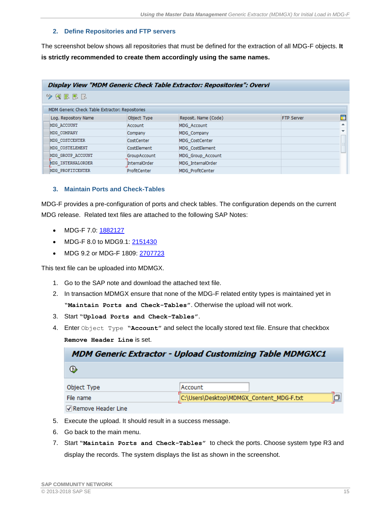## <span id="page-14-0"></span>**2. Define Repositories and FTP servers**

The screenshot below shows all repositories that must be defined for the extraction of all MDG-F objects. **It is strictly recommended to create them accordingly using the same names.**

| Display View "MDM Generic Check Table Extractor: Repositories": Overvi |                      |                         |                   |                          |
|------------------------------------------------------------------------|----------------------|-------------------------|-------------------|--------------------------|
| 使尿尿尿<br>69.                                                            |                      |                         |                   |                          |
| MDM Generic Check Table Extractor: Repositories                        |                      |                         |                   |                          |
| Log. Repository Name                                                   | Object Type          | Reposit, Name (Code)    | <b>FTP Server</b> | 而                        |
| MDG ACCOUNT                                                            | Account              | MDG Account             |                   | ▲                        |
| MDG COMPANY                                                            | Company              | MDG Company             |                   | $\overline{\phantom{a}}$ |
| MDG COSTCENTER                                                         | CostCenter           | MDG CostCenter          |                   |                          |
| MDG COSTELEMENT                                                        | <b>CostElement</b>   | MDG CostElement         |                   |                          |
| MDG GROUP ACCOUNT                                                      | <b>GroupAccount</b>  | MDG Group Account       |                   |                          |
| MDG INTERNALORDER                                                      | <b>InternalOrder</b> | MDG InternalOrder       |                   |                          |
| MDG PROFITCENTER                                                       | ProfitCenter         | <b>MDG ProfitCenter</b> |                   |                          |

## <span id="page-14-1"></span>**3. Maintain Ports and Check-Tables**

MDG-F provides a pre-configuration of ports and check tables. The configuration depends on the current MDG release. Related text files are attached to the following SAP Notes:

- MDG-F 7.0: [1882127](https://service.sap.com/sap/support/notes/1882127)
- MDG-F 8.0 to MDG9.1: 2151430
- MDG 9.2 or MDG-F 1809: [2707723](https://launchpad.support.sap.com/#/notes/2707723)

This text file can be uploaded into MDMGX.

- 1. Go to the SAP note and download the attached text file.
- 2. In transaction MDMGX ensure that none of the MDG-F related entity types is maintained yet in **"Maintain Ports and Check-Tables"**. Otherwise the upload will not work.
- 3. Start **"Upload Ports and Check-Tables"**.
- 4. Enter Object Type **"Account"** and select the locally stored text file. Ensure that checkbox **Remove Header Line** is set.

| <b>MDM Generic Extractor - Upload Customizing Table MDMGXC1</b> |                                          |  |
|-----------------------------------------------------------------|------------------------------------------|--|
| $\bigoplus$                                                     |                                          |  |
| Object Type                                                     | Account                                  |  |
| File name                                                       | C:\Users\Desktop\MDMGX_Content_MDG-F.txt |  |
| Remove Header Line                                              |                                          |  |

- 5. Execute the upload. It should result in a success message.
- 6. Go back to the main menu.
- 7. Start **"Maintain Ports and Check-Tables"** to check the ports. Choose system type R3 and display the records. The system displays the list as shown in the screenshot.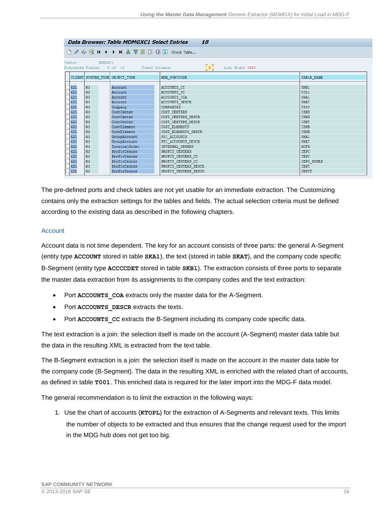| <b>Data Browser: Table MDMGXC1 Select Entries</b><br>18                                                            |                                                                                              |  |                                                                                                                                                                                                                              |                                                                                                                                                                                                                                                                                                                         |                                                                                                                                                                                                          |
|--------------------------------------------------------------------------------------------------------------------|----------------------------------------------------------------------------------------------|--|------------------------------------------------------------------------------------------------------------------------------------------------------------------------------------------------------------------------------|-------------------------------------------------------------------------------------------------------------------------------------------------------------------------------------------------------------------------------------------------------------------------------------------------------------------------|----------------------------------------------------------------------------------------------------------------------------------------------------------------------------------------------------------|
|                                                                                                                    |                                                                                              |  |                                                                                                                                                                                                                              |                                                                                                                                                                                                                                                                                                                         |                                                                                                                                                                                                          |
| Table:<br>MDMGXC1<br>$\begin{bmatrix} 5 \end{bmatrix}$ List Width 0250<br>Displayed Fields: 5 of 12 Fixed Columns: |                                                                                              |  |                                                                                                                                                                                                                              |                                                                                                                                                                                                                                                                                                                         |                                                                                                                                                                                                          |
|                                                                                                                    |                                                                                              |  | CLIENT SYSTEM_TYPE OBJECT_TYPE                                                                                                                                                                                               | MDM PORTCODE                                                                                                                                                                                                                                                                                                            | TABLE NAME                                                                                                                                                                                               |
| 421<br>421<br>421<br>421<br>421<br>421<br>421<br>421<br>421<br>421<br>421<br>421<br>421<br>421<br>421<br>421       | R3<br>R3<br>R3<br>R3<br>R3<br>R3<br>R3<br>R3<br>R3<br>R3<br>R3<br>R3<br>R3<br>R3<br>R3<br>R3 |  | Account<br>Account<br>Account<br>Account<br>Company<br>CostCenter<br>CostCenter<br>CostCenter<br>CostElement<br>CostElement<br>GroupAccount<br>GroupAccount<br>InternalOrder<br>ProfitCenter<br>ProfitCenter<br>ProfitCenter | ACCOUNTS CC<br>ACCOUNTS CC<br>ACCOUNTS COA<br><b>ACCOUNTS DESCR</b><br><b>COMPANIES</b><br>COST CENTERS<br>COST CENTERS DESCR<br>COST CENTERS DESCR<br>COST ELEMENTS<br>COST ELEMENTS DESCR<br>FSI ACCOUNTS<br>FSI ACCOUNTS DESCR<br><b>INTERNAL ORDERS</b><br>PROFIT CENTERS<br>PROFIT CENTERS CC<br>PROFIT CENTERS CC | SKB1<br>T001<br>SKA1<br><b>SKAT</b><br>T880<br>CSKS<br><b>CSKS</b><br><b>CSKT</b><br><b>CSKB</b><br><b>CSKB</b><br>SKA1<br><b>SKAT</b><br><b>AUFK</b><br><b>CEPC</b><br><b>CEPC</b><br><b>CEPC BUKRS</b> |
| 421<br>421                                                                                                         | R3<br>R3                                                                                     |  | ProfitCenter<br>ProfitCenter                                                                                                                                                                                                 | PROFIT CENTERS DESCR<br><b>CEPC</b><br>PROFIT_CENTERS_DESCR<br><b>CEPCT</b>                                                                                                                                                                                                                                             |                                                                                                                                                                                                          |

The pre-defined ports and check tables are not yet usable for an immediate extraction. The Customizing contains only the extraction settings for the tables and fields. The actual selection criteria must be defined according to the existing data as described in the following chapters.

### **Account**

Account data is not time dependent. The key for an account consists of three parts: the general A-Segment (entity type **ACCOUNT** stored in table **SKA1**), the text (stored in table **SKAT**), and the company code specific B-Segment (entity type **ACCCCDET** stored in table **SKB1**). The extraction consists of three ports to separate the master data extraction from its assignments to the company codes and the text extraction:

- Port **ACCOUNTS** COA extracts only the master data for the A-Segment.
- Port **ACCOUNTS** DESCR extracts the texts.
- Port **ACCOUNTS** CC extracts the B-Segment including its company code specific data.

The text extraction is a join: the selection itself is made on the account (A-Segment) master data table but the data in the resulting XML is extracted from the text table.

The B-Segment extraction is a join: the selection itself is made on the account in the master data table for the company code (B-Segment). The data in the resulting XML is enriched with the related chart of accounts, as defined in table **T001**. This enriched data is required for the later import into the MDG-F data model.

The general recommendation is to limit the extraction in the following ways:

1. Use the chart of accounts (**KTOPL**) for the extraction of A-Segments and relevant texts. This limits the number of objects to be extracted and thus ensures that the change request used for the import in the MDG hub does not get too big.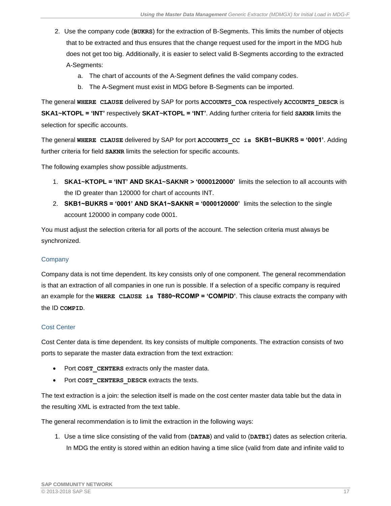- 2. Use the company code (**BUKRS**) for the extraction of B-Segments. This limits the number of objects that to be extracted and thus ensures that the change request used for the import in the MDG hub does not get too big. Additionally, it is easier to select valid B-Segments according to the extracted A-Segments:
	- a. The chart of accounts of the A-Segment defines the valid company codes.
	- b. The A-Segment must exist in MDG before B-Segments can be imported.

The general **WHERE CLAUSE** delivered by SAP for ports **ACCOUNTS\_COA** respectively **ACCOUNTS\_DESCR** is **SKA1~KTOPL = 'INT'** respectively **SKAT~KTOPL = 'INT'**. Adding further criteria for field **SAKNR** limits the selection for specific accounts.

The general **WHERE CLAUSE** delivered by SAP for port **ACCOUNTS\_CC is SKB1~BUKRS = '0001'**. Adding further criteria for field **SAKNR** limits the selection for specific accounts.

The following examples show possible adjustments.

- 1. **SKA1~KTOPL = 'INT' AND SKA1~SAKNR > '0000120000'** limits the selection to all accounts with the ID greater than 120000 for chart of accounts INT.
- 2. **SKB1~BUKRS = '0001' AND SKA1~SAKNR = '0000120000'** limits the selection to the single account 120000 in company code 0001.

You must adjust the selection criteria for all ports of the account. The selection criteria must always be synchronized.

## **Company**

Company data is not time dependent. Its key consists only of one component. The general recommendation is that an extraction of all companies in one run is possible. If a selection of a specific company is required an example for the **WHERE CLAUSE is T880~RCOMP = 'COMPID'**. This clause extracts the company with the ID **COMPID**.

## Cost Center

Cost Center data is time dependent. Its key consists of multiple components. The extraction consists of two ports to separate the master data extraction from the text extraction:

- Port **COST\_CENTERS** extracts only the master data.
- Port **COST CENTERS** DESCR extracts the texts.

The text extraction is a join: the selection itself is made on the cost center master data table but the data in the resulting XML is extracted from the text table.

The general recommendation is to limit the extraction in the following ways:

1. Use a time slice consisting of the valid from (**DATAB**) and valid to (**DATBI**) dates as selection criteria. In MDG the entity is stored within an edition having a time slice (valid from date and infinite valid to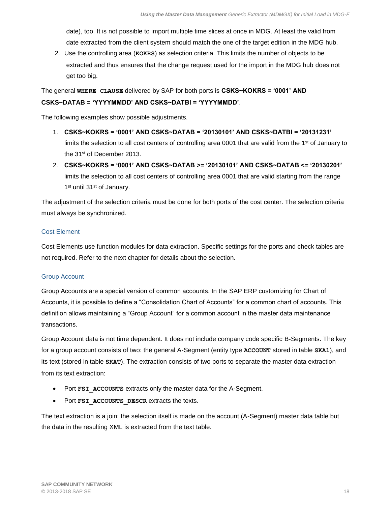date), too. It is not possible to import multiple time slices at once in MDG. At least the valid from date extracted from the client system should match the one of the target edition in the MDG hub.

2. Use the controlling area (**KOKRS**) as selection criteria. This limits the number of objects to be extracted and thus ensures that the change request used for the import in the MDG hub does not get too big.

The general **WHERE CLAUSE** delivered by SAP for both ports is **CSKS~KOKRS = '0001' AND CSKS~DATAB = 'YYYYMMDD' AND CSKS~DATBI = 'YYYYMMDD'**.

The following examples show possible adjustments.

- 1. **CSKS~KOKRS = '0001' AND CSKS~DATAB = '20130101' AND CSKS~DATBI = '20131231'** limits the selection to all cost centers of controlling area 0001 that are valid from the 1<sup>st</sup> of January to the 31st of December 2013.
- 2. **CSKS~KOKRS = '0001' AND CSKS~DATAB >= '20130101' AND CSKS~DATAB <= '20130201'** limits the selection to all cost centers of controlling area 0001 that are valid starting from the range 1<sup>st</sup> until 31<sup>st</sup> of January.

The adjustment of the selection criteria must be done for both ports of the cost center. The selection criteria must always be synchronized.

## Cost Element

Cost Elements use function modules for data extraction. Specific settings for the ports and check tables are not required. Refer to the next chapter for details about the selection.

## Group Account

Group Accounts are a special version of common accounts. In the SAP ERP customizing for Chart of Accounts, it is possible to define a "Consolidation Chart of Accounts" for a common chart of accounts. This definition allows maintaining a "Group Account" for a common account in the master data maintenance transactions.

Group Account data is not time dependent. It does not include company code specific B-Segments. The key for a group account consists of two: the general A-Segment (entity type **ACCOUNT** stored in table **SKA1**), and its text (stored in table **SKAT**). The extraction consists of two ports to separate the master data extraction from its text extraction:

- Port **FSI\_ACCOUNTS** extracts only the master data for the A-Segment.
- Port **FSI\_ACCOUNTS\_DESCR** extracts the texts.

The text extraction is a join: the selection itself is made on the account (A-Segment) master data table but the data in the resulting XML is extracted from the text table.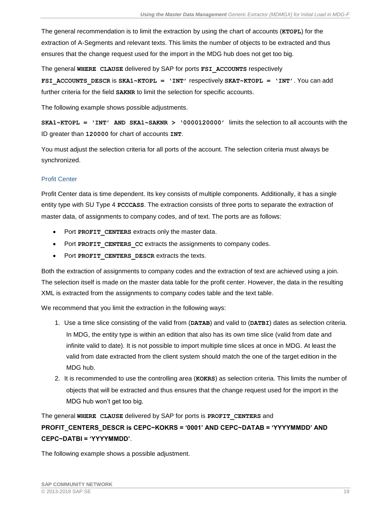The general recommendation is to limit the extraction by using the chart of accounts (**KTOPL**) for the extraction of A-Segments and relevant texts. This limits the number of objects to be extracted and thus ensures that the change request used for the import in the MDG hub does not get too big.

The general **WHERE CLAUSE** delivered by SAP for ports **FSI\_ACCOUNTS** respectively **FSI\_ACCOUNTS\_DESCR** is **SKA1~KTOPL = 'INT'** respectively **SKAT~KTOPL = 'INT'**. You can add further criteria for the field **SAKNR** to limit the selection for specific accounts.

The following example shows possible adjustments.

**SKA1~KTOPL = 'INT' AND SKA1~SAKNR > '0000120000'** limits the selection to all accounts with the ID greater than **120000** for chart of accounts **INT**.

You must adjust the selection criteria for all ports of the account. The selection criteria must always be synchronized.

## Profit Center

Profit Center data is time dependent. Its key consists of multiple components. Additionally, it has a single entity type with SU Type 4 **PCCCASS**. The extraction consists of three ports to separate the extraction of master data, of assignments to company codes, and of text. The ports are as follows:

- Port **PROFIT\_CENTERS** extracts only the master data.
- Port **PROFIT** CENTERS CC extracts the assignments to company codes.
- Port **PROFIT** CENTERS DESCR extracts the texts.

Both the extraction of assignments to company codes and the extraction of text are achieved using a join. The selection itself is made on the master data table for the profit center. However, the data in the resulting XML is extracted from the assignments to company codes table and the text table.

We recommend that you limit the extraction in the following ways:

- 1. Use a time slice consisting of the valid from (**DATAB**) and valid to (**DATBI**) dates as selection criteria. In MDG, the entity type is within an edition that also has its own time slice (valid from date and infinite valid to date). It is not possible to import multiple time slices at once in MDG. At least the valid from date extracted from the client system should match the one of the target edition in the MDG hub.
- 2. It is recommended to use the controlling area (**KOKRS**) as selection criteria. This limits the number of objects that will be extracted and thus ensures that the change request used for the import in the MDG hub won't get too big.

The general **WHERE CLAUSE** delivered by SAP for ports is **PROFIT\_CENTERS** and

## **PROFIT\_CENTERS\_DESCR is CEPC~KOKRS = '0001' AND CEPC~DATAB = 'YYYYMMDD' AND CEPC~DATBI = 'YYYYMMDD'**.

The following example shows a possible adjustment.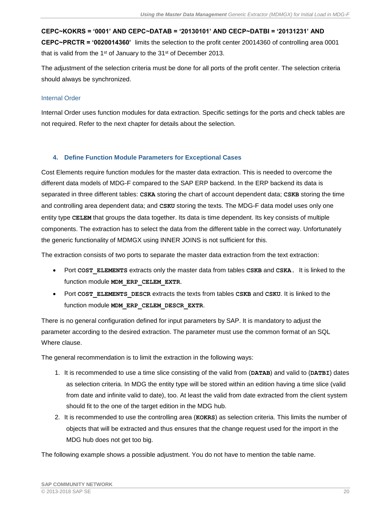**CEPC~KOKRS = '0001' AND CEPC~DATAB = '20130101' AND CECP~DATBI = '20131231' AND CEPC~PRCTR = '0020014360'** limits the selection to the profit center 20014360 of controlling area 0001 that is valid from the  $1<sup>st</sup>$  of January to the  $31<sup>st</sup>$  of December 2013.

The adjustment of the selection criteria must be done for all ports of the profit center. The selection criteria should always be synchronized.

## Internal Order

Internal Order uses function modules for data extraction. Specific settings for the ports and check tables are not required. Refer to the next chapter for details about the selection.

## <span id="page-19-0"></span>**4. Define Function Module Parameters for Exceptional Cases**

Cost Elements require function modules for the master data extraction. This is needed to overcome the different data models of MDG-F compared to the SAP ERP backend. In the ERP backend its data is separated in three different tables: **CSKA** storing the chart of account dependent data; **CSKB** storing the time and controlling area dependent data; and **CSKU** storing the texts. The MDG-F data model uses only one entity type **CELEM** that groups the data together. Its data is time dependent. Its key consists of multiple components. The extraction has to select the data from the different table in the correct way. Unfortunately the generic functionality of MDMGX using INNER JOINS is not sufficient for this.

The extraction consists of two ports to separate the master data extraction from the text extraction:

- Port **COST\_ELEMENTS** extracts only the master data from tables **CSKB** and **CSKA**. It is linked to the function module **MDM\_ERP\_CELEM\_EXTR**.
- Port **COST\_ELEMENTS\_DESCR** extracts the texts from tables **CSKB** and **CSKU**. It is linked to the function module **MDM\_ERP\_CELEM\_DESCR\_EXTR**.

There is no general configuration defined for input parameters by SAP. It is mandatory to adjust the parameter according to the desired extraction. The parameter must use the common format of an SQL Where clause.

The general recommendation is to limit the extraction in the following ways:

- 1. It is recommended to use a time slice consisting of the valid from (**DATAB**) and valid to (**DATBI**) dates as selection criteria. In MDG the entity type will be stored within an edition having a time slice (valid from date and infinite valid to date), too. At least the valid from date extracted from the client system should fit to the one of the target edition in the MDG hub.
- 2. It is recommended to use the controlling area (**KOKRS**) as selection criteria. This limits the number of objects that will be extracted and thus ensures that the change request used for the import in the MDG hub does not get too big.

The following example shows a possible adjustment. You do not have to mention the table name.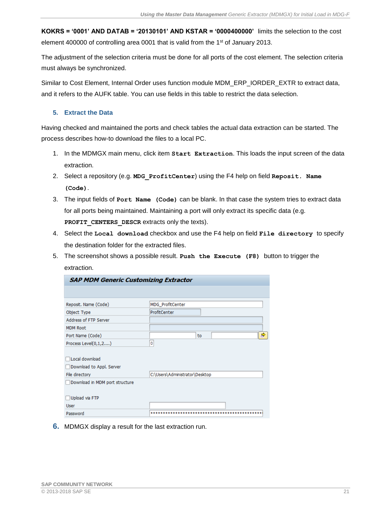**KOKRS = '0001' AND DATAB = '20130101' AND KSTAR = '0000400000'** limits the selection to the cost element 400000 of controlling area 0001 that is valid from the 1<sup>st</sup> of January 2013.

The adjustment of the selection criteria must be done for all ports of the cost element. The selection criteria must always be synchronized.

Similar to Cost Element, Internal Order uses function module MDM\_ERP\_IORDER\_EXTR to extract data, and it refers to the AUFK table. You can use fields in this table to restrict the data selection.

## <span id="page-20-0"></span>**5. Extract the Data**

Having checked and maintained the ports and check tables the actual data extraction can be started. The process describes how-to download the files to a local PC.

- 1. In the MDMGX main menu, click item **Start Extraction**. This loads the input screen of the data extraction.
- 2. Select a repository (e.g. **MDG\_ProfitCenter**) using the F4 help on field **Reposit. Name (Code)**.
- 3. The input fields of **Port Name (Code)** can be blank. In that case the system tries to extract data for all ports being maintained. Maintaining a port will only extract its specific data (e.g. PROFIT CENTERS DESCR extracts only the texts).
- 4. Select the **Local download** checkbox and use the F4 help on field **File directory** to specify the destination folder for the extracted files.
- 5. The screenshot shows a possible result. **Push the Execute (F8)** button to trigger the extraction.

| <b>SAP MDM Generic Customizing Extractor</b> |                                |  |
|----------------------------------------------|--------------------------------|--|
|                                              |                                |  |
| Reposit. Name (Code)                         | <b>MDG ProfitCenter</b>        |  |
| Object Type                                  | ProfitCenter                   |  |
| Address of FTP Server                        |                                |  |
| <b>MDM Root</b>                              |                                |  |
| Port Name (Code)                             | to                             |  |
| Process Level(0,1,2)                         | ٥                              |  |
|                                              |                                |  |
| Local download                               |                                |  |
| Download to Appl. Server                     |                                |  |
| File directory                               | C:\Users\Administrator\Desktop |  |
| Download in MDM port structure               |                                |  |
|                                              |                                |  |
| Upload via FTP                               |                                |  |
| <b>User</b>                                  |                                |  |
| Password                                     |                                |  |

**6.** MDMGX display a result for the last extraction run.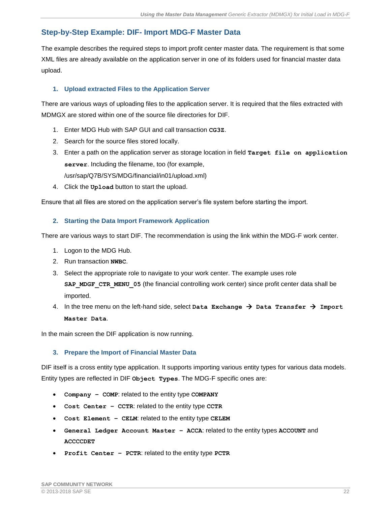## <span id="page-21-0"></span>**Step-by-Step Example: DIF- Import MDG-F Master Data**

The example describes the required steps to import profit center master data. The requirement is that some XML files are already available on the application server in one of its folders used for financial master data upload.

## <span id="page-21-1"></span>**1. Upload extracted Files to the Application Server**

There are various ways of uploading files to the application server. It is required that the files extracted with MDMGX are stored within one of the source file directories for DIF.

- 1. Enter MDG Hub with SAP GUI and call transaction **CG3Z**.
- 2. Search for the source files stored locally.
- 3. Enter a path on the application server as storage location in field **Target file on application server**. Including the filename, too (for example, /usr/sap/Q7B/SYS/MDG/financial/in01/upload.xml)
- 4. Click the **Upload** button to start the upload.

<span id="page-21-2"></span>Ensure that all files are stored on the application server's file system before starting the import.

## **2. Starting the Data Import Framework Application**

There are various ways to start DIF. The recommendation is using the link within the MDG-F work center.

- 1. Logon to the MDG Hub.
- 2. Run transaction **NWBC**.
- 3. Select the appropriate role to navigate to your work center. The example uses role **SAP\_MDGF\_CTR\_MENU\_05** (the financial controlling work center) since profit center data shall be imported.
- 4. In the tree menu on the left-hand side, select **Data Exchange** → **Data Transfer** → **Import Master Data**.

<span id="page-21-3"></span>In the main screen the DIF application is now running.

## **3. Prepare the Import of Financial Master Data**

DIF itself is a cross entity type application. It supports importing various entity types for various data models. Entity types are reflected in DIF **Object Types**. The MDG-F specific ones are:

- **Company – COMP**: related to the entity type **COMPANY**
- **Cost Center – CCTR**: related to the entity type **CCTR**
- **Cost Element – CELM**: related to the entity type **CELEM**
- **General Ledger Account Master – ACCA**: related to the entity types **ACCOUNT** and **ACCCCDET**
- **Profit Center – PCTR**: related to the entity type **PCTR**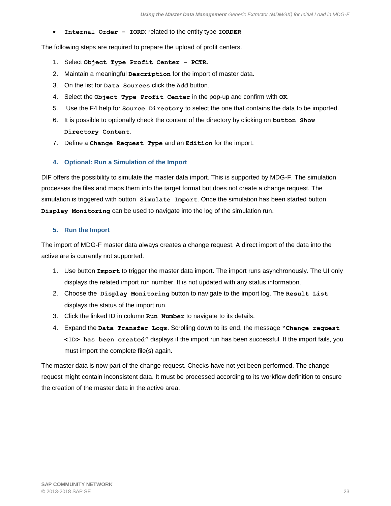• **Internal Order – IORD**: related to the entity type **IORDER**

The following steps are required to prepare the upload of profit centers.

- 1. Select **Object Type Profit Center – PCTR**.
- 2. Maintain a meaningful **Description** for the import of master data.
- 3. On the list for **Data Sources** click the **Add** button.
- 4. Select the **Object Type Profit Center** in the pop-up and confirm with **OK**.
- 5. Use the F4 help for **Source Directory** to select the one that contains the data to be imported.
- 6. It is possible to optionally check the content of the directory by clicking on **button Show Directory Content**.
- 7. Define a **Change Request Type** and an **Edition** for the import.

## <span id="page-22-0"></span>**4. Optional: Run a Simulation of the Import**

DIF offers the possibility to simulate the master data import. This is supported by MDG-F. The simulation processes the files and maps them into the target format but does not create a change request. The simulation is triggered with button **Simulate Import**. Once the simulation has been started button **Display Monitoring** can be used to navigate into the log of the simulation run.

## <span id="page-22-1"></span>**5. Run the Import**

The import of MDG-F master data always creates a change request. A direct import of the data into the active are is currently not supported.

- 1. Use button **Import** to trigger the master data import. The import runs asynchronously. The UI only displays the related import run number. It is not updated with any status information.
- 2. Choose the **Display Monitoring** button to navigate to the import log. The **Result List** displays the status of the import run.
- 3. Click the linked ID in column **Run Number** to navigate to its details.
- 4. Expand the **Data Transfer Logs**. Scrolling down to its end, the message **"Change request <ID> has been created"** displays if the import run has been successful. If the import fails, you must import the complete file(s) again.

The master data is now part of the change request. Checks have not yet been performed. The change request might contain inconsistent data. It must be processed according to its workflow definition to ensure the creation of the master data in the active area.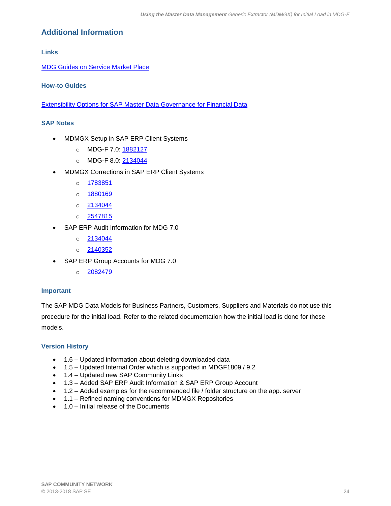## <span id="page-23-0"></span>**Additional Information**

<span id="page-23-1"></span>**Links**

[MDG Guides on Service Market Place](https://websmp209.sap-ag.de/~form/handler?_APP=00200682500000002672&_EVENT=DISPLAY&_SCENARIO=01100035870000000122&_HIER_KEY=501100035870000015092&_HIER_KEY=601100035870000179414&_HIER_KEY=601100035870000240752&)

## <span id="page-23-2"></span>**How-to Guides**

<span id="page-23-3"></span>[Extensibility Options for SAP Master Data Governance for Financial Data](https://wiki.scn.sap.com/wiki/display/SAPMDM/Documentation%3A+Financial+Data)

## <span id="page-23-4"></span>**SAP Notes**

- MDMGX Setup in SAP ERP Client Systems
	- o MDG-F 7.0: [1882127](https://service.sap.com/sap/support/notes/1882127)
	- o MDG-F 8.0: [2134044](https://service.sap.com/sap/support/notes/2134044)
- MDMGX Corrections in SAP ERP Client Systems
	- o [1783851](https://service.sap.com/sap/support/notes/1783851)
	- o [1880169](https://service.sap.com/sap/support/notes/1880169)
	- $o$  [2134044](https://service.sap.com/sap/support/notes/2134044)
	- o [2547815](https://launchpad.support.sap.com/#/notes/2547815)
- SAP ERP Audit Information for MDG 7.0
	- $o$  [2134044](https://service.sap.com/sap/support/notes/2134044)
	- o [2140352](https://service.sap.com/sap/support/notes/2140352)
- SAP ERP Group Accounts for MDG 7.0
	- o [2082479](https://service.sap.com/sap/support/notes/2082479)

## <span id="page-23-5"></span>**Important**

The SAP MDG Data Models for Business Partners, Customers, Suppliers and Materials do not use this procedure for the initial load. Refer to the related documentation how the initial load is done for these models.

## <span id="page-23-6"></span>**Version History**

- 1.6 Updated information about deleting downloaded data
- 1.5 Updated Internal Order which is supported in MDGF1809 / 9.2
- 1.4 Updated new SAP Community Links
- 1.3 Added SAP ERP Audit Information & SAP ERP Group Account
- 1.2 Added examples for the recommended file / folder structure on the app. server
- 1.1 Refined naming conventions for MDMGX Repositories
- 1.0 Initial release of the Documents